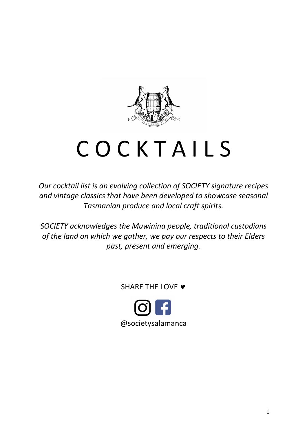

# C O C K T A I L S

*Our cocktail list is an evolving collection of SOCIETY signature recipes and vintage classics that have been developed to showcase seasonal Tasmanian produce and local craft spirits.*

*SOCIETY acknowledges the Muwinina people, traditional custodians of the land on which we gather, we pay our respects to their Elders past, present and emerging.*

SHARE THE LOVE  $\blacktriangledown$ 

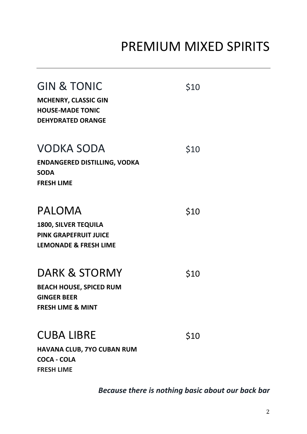### PREMIUM MIXED SPIRITS

| <b>GIN &amp; TONIC</b><br><b>MCHENRY, CLASSIC GIN</b><br><b>HOUSE-MADE TONIC</b><br><b>DEHYDRATED ORANGE</b>     | \$10 |
|------------------------------------------------------------------------------------------------------------------|------|
| <b>VODKA SODA</b><br><b>ENDANGERED DISTILLING, VODKA</b><br><b>SODA</b><br><b>FRESH LIME</b>                     | \$10 |
| <b>PALOMA</b><br><b>1800, SILVER TEQUILA</b><br><b>PINK GRAPEFRUIT JUICE</b><br><b>LEMONADE &amp; FRESH LIME</b> | \$10 |
| DARK & STORMY<br><b>BEACH HOUSE, SPICED RUM</b><br><b>GINGER BEER</b><br><b>FRESH LIME &amp; MINT</b>            | \$10 |
| <b>CUBA LIBRE</b><br>HAVANA CLUB, 7YO CUBAN RUM<br><b>COCA - COLA</b>                                            | \$10 |

**FRESH LIME**

*Because there is nothing basic about our back bar*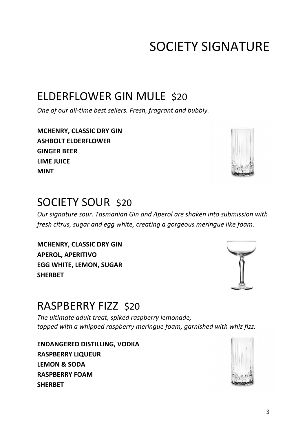### SOCIETY SIGNATURE

#### ELDERFLOWER GIN MULE \$20

*One of our all-time best sellers. Fresh, fragrant and bubbly.*

**MCHENRY, CLASSIC DRY GIN ASHBOLT ELDERFLOWER GINGER BEER LIME JUICE MINT**

#### SOCIETY SOUR \$20

*Our signature sour. Tasmanian Gin and Aperol are shaken into submission with fresh citrus, sugar and egg white, creating a gorgeous meringue like foam.* 

**MCHENRY, CLASSIC DRY GIN APEROL, APERITIVO EGG WHITE, LEMON, SUGAR SHERBET**

#### RASPBERRY FIZZ \$20

*The ultimate adult treat, spiked raspberry lemonade, topped with a whipped raspberry meringue foam, garnished with whiz fizz.*

**ENDANGERED DISTILLING, VODKA RASPBERRY LIQUEUR LEMON & SODA RASPBERRY FOAM SHERBET** 





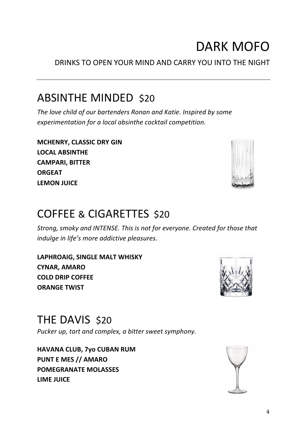### DARK MOFO

DRINKS TO OPEN YOUR MIND AND CARRY YOU INTO THE NIGHT

#### ABSINTHE MINDED \$20

*The love child of our bartenders Ronan and Katie. Inspired by some experimentation for a local absinthe cocktail competition.* 

**MCHENRY, CLASSIC DRY GIN LOCAL ABSINTHE CAMPARI, BITTER ORGEAT LEMON JUICE**

#### COFFEE & CIGARETTES \$20

*Strong, smoky and INTENSE. This is not for everyone. Created for those that indulge in life's more addictive pleasures.* 

**LAPHROAIG, SINGLE MALT WHISKY CYNAR, AMARO COLD DRIP COFFEE ORANGE TWIST**

THE DAVIS \$20

*Pucker up, tart and complex, a bitter sweet symphony.*

**HAVANA CLUB, 7yo CUBAN RUM PUNT E MES // AMARO POMEGRANATE MOLASSES LIME JUICE**





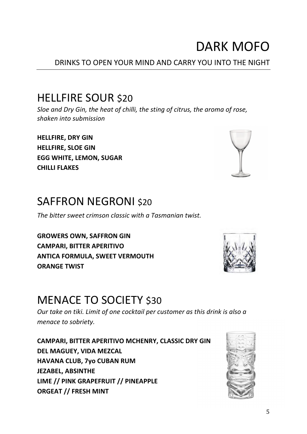### DARK MOFO

#### DRINKS TO OPEN YOUR MIND AND CARRY YOU INTO THE NIGHT

#### HELLFIRE SOUR \$20

*Sloe and Dry Gin, the heat of chilli, the sting of citrus, the aroma of rose, shaken into submission*

**HELLFIRE, DRY GIN HELLFIRE, SLOE GIN EGG WHITE, LEMON, SUGAR CHILLI FLAKES**

#### SAFFRON NEGRONI \$20

*The bitter sweet crimson classic with a Tasmanian twist.*

**GROWERS OWN, SAFFRON GIN CAMPARI, BITTER APERITIVO ANTICA FORMULA, SWEET VERMOUTH ORANGE TWIST**

#### MENACE TO SOCIETY \$30

*Our take on tiki. Limit of one cocktail per customer as this drink is also a menace to sobriety.* 

**CAMPARI, BITTER APERITIVO MCHENRY, CLASSIC DRY GIN DEL MAGUEY, VIDA MEZCAL HAVANA CLUB, 7yo CUBAN RUM JEZABEL, ABSINTHE LIME // PINK GRAPEFRUIT // PINEAPPLE ORGEAT // FRESH MINT**





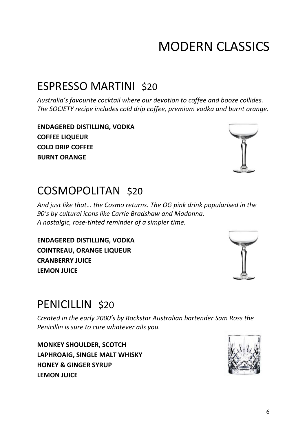# MODERN CLASSICS

### ESPRESSO MARTINI \$20

*Australia's favourite cocktail where our devotion to coffee and booze collides. The SOCIETY recipe includes cold drip coffee, premium vodka and burnt orange.*

**ENDAGERED DISTILLING, VODKA COFFEE LIQUEUR COLD DRIP COFFEE BURNT ORANGE** 

### COSMOPOLITAN \$20

*And just like that… the Cosmo returns. The OG pink drink popularised in the 90's by cultural icons like Carrie Bradshaw and Madonna. A nostalgic, rose-tinted reminder of a simpler time.*

**ENDAGERED DISTILLING, VODKA COINTREAU, ORANGE LIQUEUR CRANBERRY JUICE LEMON JUICE**

### PENICILLIN \$20

*Created in the early 2000's by Rockstar Australian bartender Sam Ross the Penicillin is sure to cure whatever ails you.*

**MONKEY SHOULDER, SCOTCH LAPHROAIG, SINGLE MALT WHISKY HONEY & GINGER SYRUP LEMON JUICE**





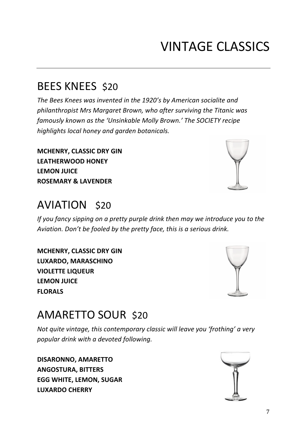### VINTAGE CLASSICS

#### BEES KNEES \$20

*The Bees Knees was invented in the 1920's by American socialite and philanthropist Mrs Margaret Brown, who after surviving the Titanic was famously known as the 'Unsinkable Molly Brown.' The SOCIETY recipe highlights local honey and garden botanicals.* 

**MCHENRY, CLASSIC DRY GIN LEATHERWOOD HONEY LEMON JUICE ROSEMARY & LAVENDER**

#### AVIATION \$20

*If you fancy sipping on a pretty purple drink then may we introduce you to the Aviation. Don't be fooled by the pretty face, this is a serious drink.*

**MCHENRY, CLASSIC DRY GIN LUXARDO, MARASCHINO VIOLETTE LIQUEUR LEMON JUICE FLORALS**

#### AMARETTO SOUR \$20

*Not quite vintage, this contemporary classic will leave you 'frothing' a very popular drink with a devoted following.* 

**DISARONNO, AMARETTO ANGOSTURA, BITTERS EGG WHITE, LEMON, SUGAR LUXARDO CHERRY**





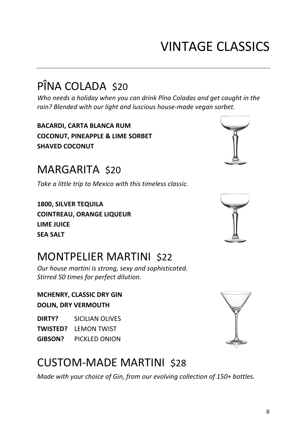### VINTAGE CLASSICS

### PÎNA COLADA \$20

*Who needs a holiday when you can drink Pîna Coladas and get caught in the rain? Blended with our light and luscious house-made vegan sorbet.*

**BACARDI, CARTA BLANCA RUM COCONUT, PINEAPPLE & LIME SORBET SHAVED COCONUT**

#### MARGARITA \$20

*Take a little trip to Mexico with this timeless classic.*

**1800, SILVER TEQUILA COINTREAU, ORANGE LIQUEUR LIME JUICE SEA SALT** 

#### MONTPELIER MARTINI \$22

*Our house martini is strong, sexy and sophisticated. Stirred 50 times for perfect dilution.*

**MCHENRY, CLASSIC DRY GIN DOLIN, DRY VERMOUTH**

**DIRTY?** SICILIAN OLIVES **TWISTED?** LEMON TWIST **GIBSON?** PICKLED ONION

#### CUSTOM-MADE MARTINI \$28

*Made with your choice of Gin, from our evolving collection of 150+ bottles.*



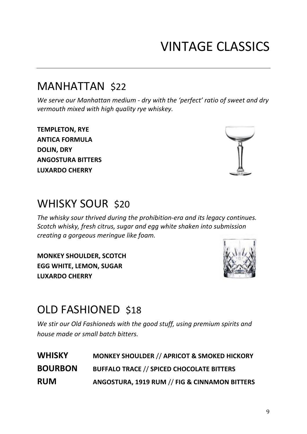## VINTAGE CLASSICS

#### MANHATTAN \$22

*We serve our Manhattan medium - dry with the 'perfect' ratio of sweet and dry vermouth mixed with high quality rye whiskey.*

**TEMPLETON, RYE ANTICA FORMULA DOLIN, DRY ANGOSTURA BITTERS LUXARDO CHERRY**

#### WHISKY SOUR \$20

*The whisky sour thrived during the prohibition-era and its legacy continues. Scotch whisky, fresh citrus, sugar and egg white shaken into submission creating a gorgeous meringue like foam.*

**MONKEY SHOULDER, SCOTCH EGG WHITE, LEMON, SUGAR LUXARDO CHERRY** 

#### OLD FASHIONED \$18

*We stir our Old Fashioneds with the good stuff, using premium spirits and house made or small batch bitters.*

| <b>WHISKY</b>  | <b>MONKEY SHOULDER // APRICOT &amp; SMOKED HICKORY</b> |
|----------------|--------------------------------------------------------|
| <b>BOURBON</b> | <b>BUFFALO TRACE // SPICED CHOCOLATE BITTERS</b>       |
| <b>RUM</b>     | ANGOSTURA, 1919 RUM // FIG & CINNAMON BITTERS          |



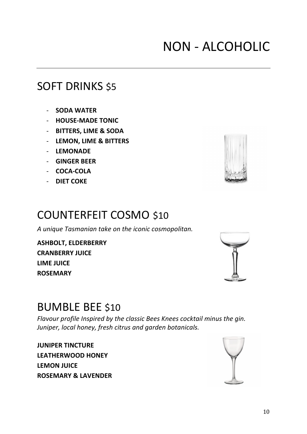#### 10

### NON - ALCOHOLIC

#### SOFT DRINKS \$5

- **SODA WATER**
- **HOUSE-MADE TONIC**
- **BITTERS, LIME & SODA**
- **LEMON, LIME & BITTERS**
- **LEMONADE**
- **GINGER BEER**
- **COCA-COLA**
- **DIET COKE**

#### COUNTERFEIT COSMO\$10

*A unique Tasmanian take on the iconic cosmopolitan.*

**ASHBOLT, ELDERBERRY CRANBERRY JUICE LIME JUICE ROSEMARY** 

#### BUMBLE BEE \$10

*Flavour profile Inspired by the classic Bees Knees cocktail minus the gin. Juniper, local honey, fresh citrus and garden botanicals.*

**JUNIPER TINCTURE LEATHERWOOD HONEY LEMON JUICE ROSEMARY & LAVENDER**





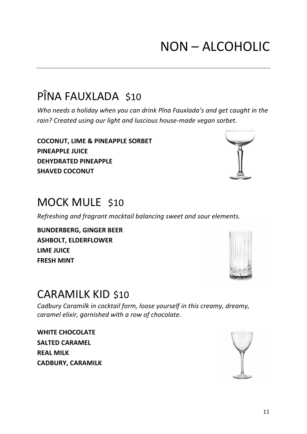### NON – ALCOHOLIC

### PÎNA FAUXLADA \$10

*Who needs a holiday when you can drink Pîna Fauxlada's and get caught in the rain? Created using our light and luscious house-made vegan sorbet.*

**COCONUT, LIME & PINEAPPLE SORBET PINEAPPLE JUICE DEHYDRATED PINEAPPLE SHAVED COCONUT** 

#### MOCK MULE \$10

*Refreshing and fragrant mocktail balancing sweet and sour elements.*

**BUNDERBERG, GINGER BEER ASHBOLT, ELDERFLOWER LIME JUICE FRESH MINT**

#### CARAMILK KID \$10

*Cadbury Caramilk in cocktail form, loose yourself in this creamy, dreamy, caramel elixir, garnished with a row of chocolate.*

**WHITE CHOCOLATE SALTED CARAMEL REAL MILK CADBURY, CARAMILK**